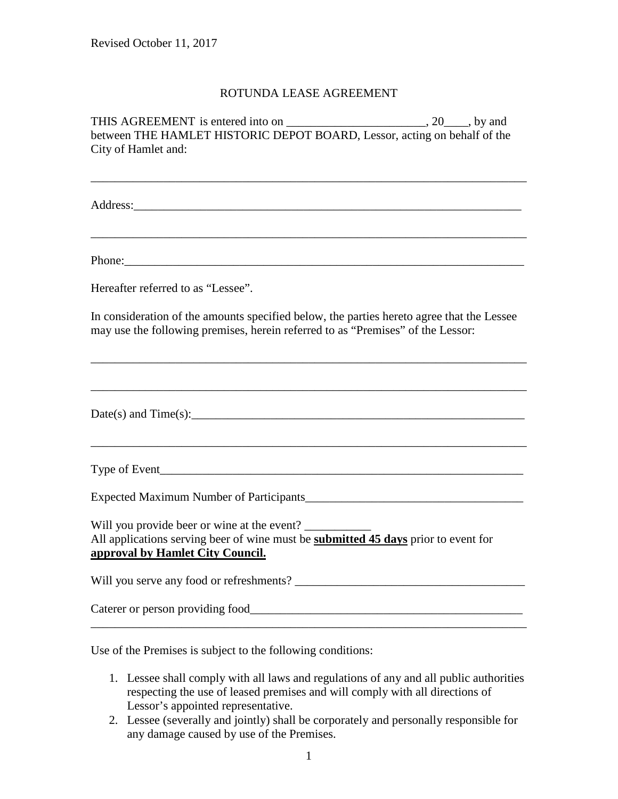## ROTUNDA LEASE AGREEMENT

THIS AGREEMENT is entered into on \_\_\_\_\_\_\_\_\_\_\_\_\_\_\_\_\_\_\_\_\_\_\_\_\_, 20\_\_\_\_, by and between THE HAMLET HISTORIC DEPOT BOARD, Lessor, acting on behalf of the City of Hamlet and:

\_\_\_\_\_\_\_\_\_\_\_\_\_\_\_\_\_\_\_\_\_\_\_\_\_\_\_\_\_\_\_\_\_\_\_\_\_\_\_\_\_\_\_\_\_\_\_\_\_\_\_\_\_\_\_\_\_\_\_\_\_\_\_\_\_\_\_\_\_\_\_\_

\_\_\_\_\_\_\_\_\_\_\_\_\_\_\_\_\_\_\_\_\_\_\_\_\_\_\_\_\_\_\_\_\_\_\_\_\_\_\_\_\_\_\_\_\_\_\_\_\_\_\_\_\_\_\_\_\_\_\_\_\_\_\_\_\_\_\_\_\_\_\_\_

Address:\_\_\_\_\_\_\_\_\_\_\_\_\_\_\_\_\_\_\_\_\_\_\_\_\_\_\_\_\_\_\_\_\_\_\_\_\_\_\_\_\_\_\_\_\_\_\_\_\_\_\_\_\_\_\_\_\_\_\_\_\_\_\_\_

Phone:

Hereafter referred to as "Lessee".

In consideration of the amounts specified below, the parties hereto agree that the Lessee may use the following premises, herein referred to as "Premises" of the Lessor:

\_\_\_\_\_\_\_\_\_\_\_\_\_\_\_\_\_\_\_\_\_\_\_\_\_\_\_\_\_\_\_\_\_\_\_\_\_\_\_\_\_\_\_\_\_\_\_\_\_\_\_\_\_\_\_\_\_\_\_\_\_\_\_\_\_\_\_\_\_\_\_\_

\_\_\_\_\_\_\_\_\_\_\_\_\_\_\_\_\_\_\_\_\_\_\_\_\_\_\_\_\_\_\_\_\_\_\_\_\_\_\_\_\_\_\_\_\_\_\_\_\_\_\_\_\_\_\_\_\_\_\_\_\_\_\_\_\_\_\_\_\_\_\_\_

\_\_\_\_\_\_\_\_\_\_\_\_\_\_\_\_\_\_\_\_\_\_\_\_\_\_\_\_\_\_\_\_\_\_\_\_\_\_\_\_\_\_\_\_\_\_\_\_\_\_\_\_\_\_\_\_\_\_\_\_\_\_\_\_\_\_\_\_\_\_\_\_

Date(s) and Time(s):

Type of Event\_\_\_\_\_\_\_\_\_\_\_\_\_\_\_\_\_\_\_\_\_\_\_\_\_\_\_\_\_\_\_\_\_\_\_\_\_\_\_\_\_\_\_\_\_\_\_\_\_\_\_\_\_\_\_\_\_\_\_\_

Expected Maximum Number of Participants

Will you provide beer or wine at the event? All applications serving beer of wine must be **submitted 45 days** prior to event for **approval by Hamlet City Council.**

Will you serve any food or refreshments? \_\_\_\_\_\_\_\_\_\_\_\_\_\_\_\_\_\_\_\_\_\_\_\_\_\_\_\_\_\_\_\_\_\_\_\_\_\_

Caterer or person providing food\_\_\_\_\_\_\_\_\_\_\_\_\_\_\_\_\_\_\_\_\_\_\_\_\_\_\_\_\_\_\_\_\_\_\_\_\_\_\_\_\_\_\_\_\_

Use of the Premises is subject to the following conditions:

- 1. Lessee shall comply with all laws and regulations of any and all public authorities respecting the use of leased premises and will comply with all directions of Lessor's appointed representative.
- 2. Lessee (severally and jointly) shall be corporately and personally responsible for any damage caused by use of the Premises.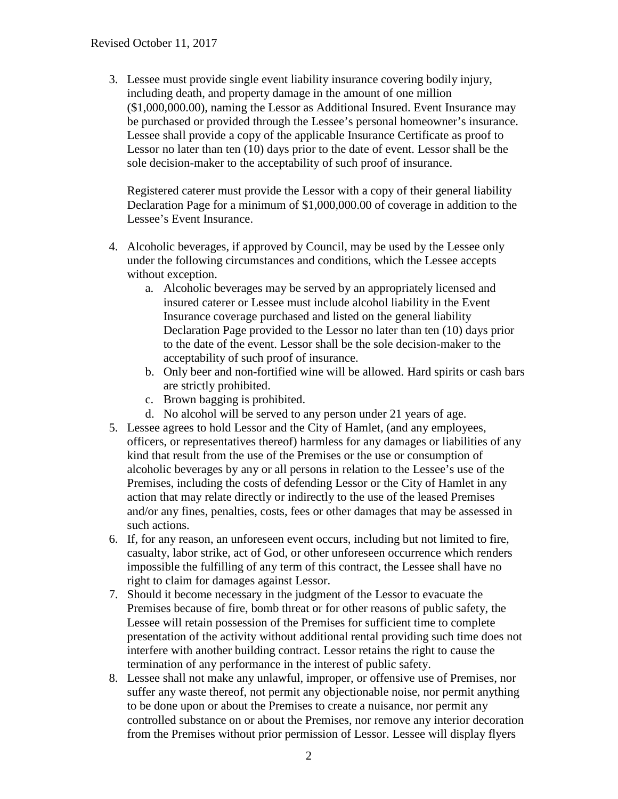3. Lessee must provide single event liability insurance covering bodily injury, including death, and property damage in the amount of one million (\$1,000,000.00), naming the Lessor as Additional Insured. Event Insurance may be purchased or provided through the Lessee's personal homeowner's insurance. Lessee shall provide a copy of the applicable Insurance Certificate as proof to Lessor no later than ten (10) days prior to the date of event. Lessor shall be the sole decision-maker to the acceptability of such proof of insurance.

Registered caterer must provide the Lessor with a copy of their general liability Declaration Page for a minimum of \$1,000,000.00 of coverage in addition to the Lessee's Event Insurance.

- 4. Alcoholic beverages, if approved by Council, may be used by the Lessee only under the following circumstances and conditions, which the Lessee accepts without exception.
	- a. Alcoholic beverages may be served by an appropriately licensed and insured caterer or Lessee must include alcohol liability in the Event Insurance coverage purchased and listed on the general liability Declaration Page provided to the Lessor no later than ten (10) days prior to the date of the event. Lessor shall be the sole decision-maker to the acceptability of such proof of insurance.
	- b. Only beer and non-fortified wine will be allowed. Hard spirits or cash bars are strictly prohibited.
	- c. Brown bagging is prohibited.
	- d. No alcohol will be served to any person under 21 years of age.
- 5. Lessee agrees to hold Lessor and the City of Hamlet, (and any employees, officers, or representatives thereof) harmless for any damages or liabilities of any kind that result from the use of the Premises or the use or consumption of alcoholic beverages by any or all persons in relation to the Lessee's use of the Premises, including the costs of defending Lessor or the City of Hamlet in any action that may relate directly or indirectly to the use of the leased Premises and/or any fines, penalties, costs, fees or other damages that may be assessed in such actions.
- 6. If, for any reason, an unforeseen event occurs, including but not limited to fire, casualty, labor strike, act of God, or other unforeseen occurrence which renders impossible the fulfilling of any term of this contract, the Lessee shall have no right to claim for damages against Lessor.
- 7. Should it become necessary in the judgment of the Lessor to evacuate the Premises because of fire, bomb threat or for other reasons of public safety, the Lessee will retain possession of the Premises for sufficient time to complete presentation of the activity without additional rental providing such time does not interfere with another building contract. Lessor retains the right to cause the termination of any performance in the interest of public safety.
- 8. Lessee shall not make any unlawful, improper, or offensive use of Premises, nor suffer any waste thereof, not permit any objectionable noise, nor permit anything to be done upon or about the Premises to create a nuisance, nor permit any controlled substance on or about the Premises, nor remove any interior decoration from the Premises without prior permission of Lessor. Lessee will display flyers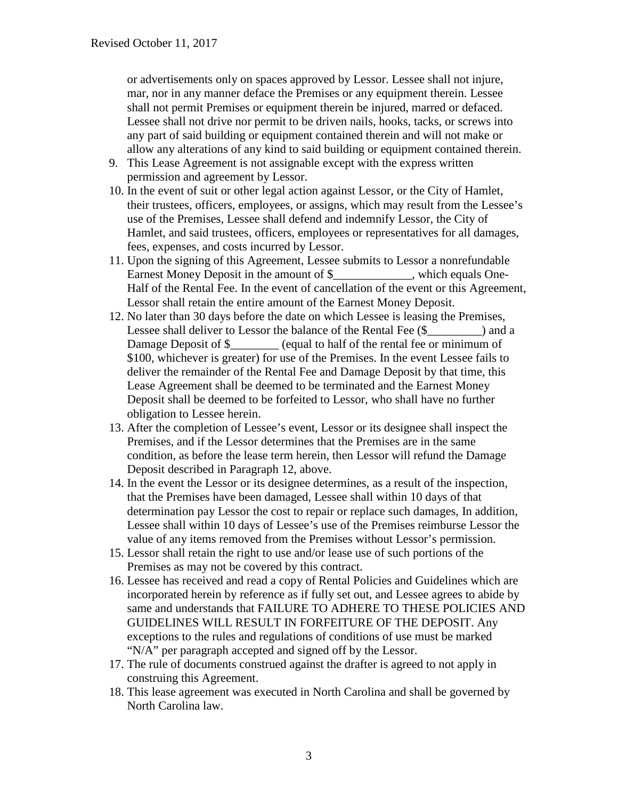or advertisements only on spaces approved by Lessor. Lessee shall not injure, mar, nor in any manner deface the Premises or any equipment therein. Lessee shall not permit Premises or equipment therein be injured, marred or defaced. Lessee shall not drive nor permit to be driven nails, hooks, tacks, or screws into any part of said building or equipment contained therein and will not make or allow any alterations of any kind to said building or equipment contained therein.

- 9. This Lease Agreement is not assignable except with the express written permission and agreement by Lessor.
- 10. In the event of suit or other legal action against Lessor, or the City of Hamlet, their trustees, officers, employees, or assigns, which may result from the Lessee's use of the Premises, Lessee shall defend and indemnify Lessor, the City of Hamlet, and said trustees, officers, employees or representatives for all damages, fees, expenses, and costs incurred by Lessor.
- 11. Upon the signing of this Agreement, Lessee submits to Lessor a nonrefundable Earnest Money Deposit in the amount of \$, which equals One-Half of the Rental Fee. In the event of cancellation of the event or this Agreement, Lessor shall retain the entire amount of the Earnest Money Deposit.
- 12. No later than 30 days before the date on which Lessee is leasing the Premises, Lessee shall deliver to Lessor the balance of the Rental Fee  $(\$$  \_\_\_\_\_\_\_\_) and a Damage Deposit of \$\_\_\_\_\_\_\_\_ (equal to half of the rental fee or minimum of \$100, whichever is greater) for use of the Premises. In the event Lessee fails to deliver the remainder of the Rental Fee and Damage Deposit by that time, this Lease Agreement shall be deemed to be terminated and the Earnest Money Deposit shall be deemed to be forfeited to Lessor, who shall have no further obligation to Lessee herein.
- 13. After the completion of Lessee's event, Lessor or its designee shall inspect the Premises, and if the Lessor determines that the Premises are in the same condition, as before the lease term herein, then Lessor will refund the Damage Deposit described in Paragraph 12, above.
- 14. In the event the Lessor or its designee determines, as a result of the inspection, that the Premises have been damaged, Lessee shall within 10 days of that determination pay Lessor the cost to repair or replace such damages, In addition, Lessee shall within 10 days of Lessee's use of the Premises reimburse Lessor the value of any items removed from the Premises without Lessor's permission.
- 15. Lessor shall retain the right to use and/or lease use of such portions of the Premises as may not be covered by this contract.
- 16. Lessee has received and read a copy of Rental Policies and Guidelines which are incorporated herein by reference as if fully set out, and Lessee agrees to abide by same and understands that FAILURE TO ADHERE TO THESE POLICIES AND GUIDELINES WILL RESULT IN FORFEITURE OF THE DEPOSIT. Any exceptions to the rules and regulations of conditions of use must be marked "N/A" per paragraph accepted and signed off by the Lessor.
- 17. The rule of documents construed against the drafter is agreed to not apply in construing this Agreement.
- 18. This lease agreement was executed in North Carolina and shall be governed by North Carolina law.